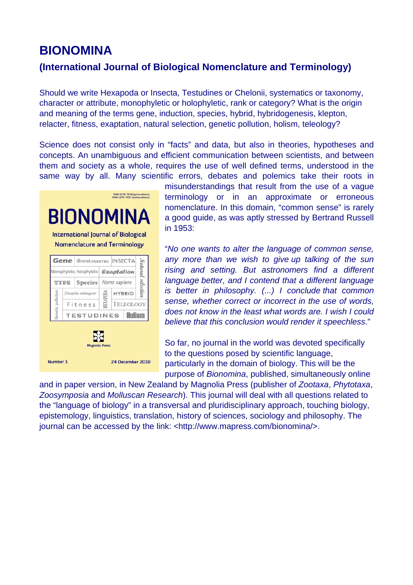# **BIONOMINA**

# **(International Journal of Biological Nomenclature and Terminology)**

Should we write Hexapoda or Insecta, Testudines or Chelonii, systematics or taxonomy, character or attribute, monophyletic or holophyletic, rank or category? What is the origin and meaning of the terms gene, induction, species, hybrid, hybridogenesis, klepton, relacter, fitness, exaptation, natural selection, genetic pollution, holism, teleology?

Science does not consist only in "facts" and data, but also in theories, hypotheses and concepts. An unambiguous and efficient communication between scientists, and between them and society as a whole, requires the use of well defined terms, understood in the same way by all. Many scientific errors, debates and polemics take their roots in



misunderstandings that result from the use of a vague terminology or in an approximate or erroneous nomenclature. In this domain, "common sense" is rarely a good guide, as was aptly stressed by Bertrand Russell in 1953:

"*No one wants to alter the language of common sense, any more than we wish to give up talking of the sun rising and setting. But astronomers find a different language better, and I contend that a different language is better in philosophy. (...) I conclude that common sense, whether correct or incorrect in the use of words, does not know in the least what words are. I wish I could believe that this conclusion would render it speechless*."

So far, no journal in the world was devoted specifically to the questions posed by scientific language, particularly in the domain of biology. This will be the purpose of *Bionomina*, published, simultaneously online

and in paper version, in New Zealand by Magnolia Press (publisher of *Zootaxa*, *Phytotaxa*, *Zoosymposia* and *Molluscan Research*). This journal will deal with all questions related to the "language of biology" in a transversal and pluridisciplinary approach, touching biology, epistemology, linguistics, translation, history of sciences, sociology and philosophy. The journal can be accessed by the link: <http://www.mapress.com/bionomina/>.